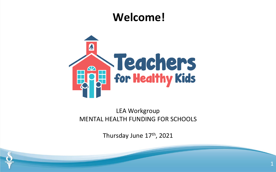#### **Welcome!**



LEA Workgroup MENTAL HEALTH FUNDING FOR SCHOOLS

Thursday June 17<sup>th</sup>, 2021

1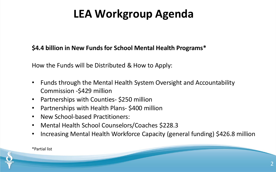## **LEA Workgroup Agenda**

#### **\$4.4 billion in New Funds for School Mental Health Programs\***

How the Funds will be Distributed & How to Apply:

- Funds through the Mental Health System Oversight and Accountability Commission -\$429 million
- Partnerships with Counties- \$250 million
- Partnerships with Health Plans- \$400 million
- New School-based Practitioners:
- Mental Health School Counselors/Coaches \$228.3
- Increasing Mental Health Workforce Capacity (general funding) \$426.8 million

\*Partial list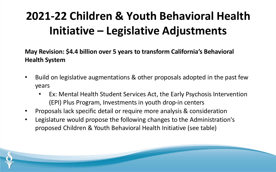# **2021-22 Children & Youth Behavioral Health Initiative – Legislative Adjustments**

**May Revision: \$4.4 billion over 5 years to transform California's Behavioral Health System**

- Build on legislative augmentations & other proposals adopted in the past few years
	- Ex: Mental Health Student Services Act, the Early Psychosis Intervention (EPI) Plus Program, Investments in youth drop-in centers
- Proposals lack specific detail or require more analysis & consideration
- Legislature would propose the following changes to the Administration's proposed Children & Youth Behavioral Health Initiative (see table)

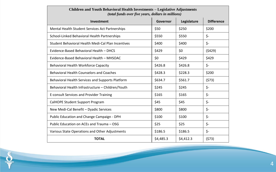| <b>Children and Youth Behavioral Health Investments - Legislative Adjustments</b><br>(total funds over five years, dollars in millions) |           |             |                   |
|-----------------------------------------------------------------------------------------------------------------------------------------|-----------|-------------|-------------------|
| Investment                                                                                                                              | Governor  | Legislature | <b>Difference</b> |
| Mental Health Student Services Act Partnerships                                                                                         | \$50      | \$250       | \$200             |
| School-Linked Behavioral Health Partnerships                                                                                            | \$550     | \$550       | \$-               |
| Student Behavioral Health Medi-Cal Plan Incentives                                                                                      | \$400     | \$400       | \$-               |
| Evidence-Based Behavioral Health - DHCS                                                                                                 | \$429     | \$0         | (5429)            |
| Evidence-Based Behavioral Health - MHSOAC                                                                                               | \$0       | \$429       | \$429             |
| Behavioral Health Workforce Capacity                                                                                                    | \$426.8   | \$426.8     | \$-               |
| Behavioral Health Counselors and Coaches                                                                                                | \$428.3   | \$228.3     | \$200             |
| Behavioral Health Services and Supports Platform                                                                                        | \$634.7   | \$561.7     | (573)             |
| Behavioral Health Infrastructure - Children/Youth                                                                                       | \$245     | \$245       | $\zeta$ -         |
| E-consult Services and Provider Training                                                                                                | \$165     | \$165       | $\zeta$ -         |
| CalHOPE Student Support Program                                                                                                         | \$45      | \$45        | $\zeta$ -         |
| New Medi-Cal Benefit - Dyadic Services                                                                                                  | \$800     | \$800       | $\zeta$ -         |
| Public Education and Change Campaign - DPH                                                                                              | \$100     | \$100       | \$-               |
| Public Education on ACEs and Trauma - OSG                                                                                               | \$25      | \$25        | \$-               |
| Various State Operations and Other Adjustments                                                                                          | \$186.5   | \$186.5     | \$-               |
| <b>TOTAL</b>                                                                                                                            | \$4,485.3 | \$4,412.3   | (573)             |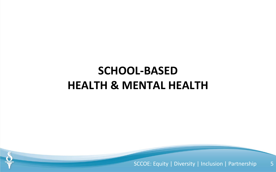## **SCHOOL-BASED HEALTH & MENTAL HEALTH**

SCCOE: Equity | Diversity | Inclusion | Partnership 5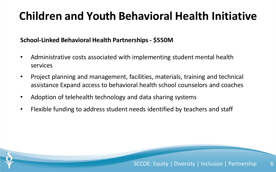#### **School-Linked Behavioral Health Partnerships- \$550M**

- Administrative costs associated with implementing student mental health services
- Project planning and management, facilities, materials, training and technical assistance Expand access to behavioral health school counselors and coaches
- Adoption of telehealth technology and data sharing systems
- Flexible funding to address student needs identified by teachers and staff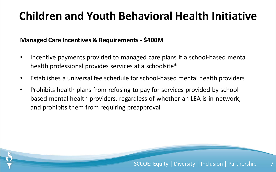#### **Managed Care Incentives & Requirements - \$400M**

- Incentive payments provided to managed care plans if a school-based mental health professional provides services at a schoolsite\*
- Establishes a universal fee schedule for school-based mental health providers
- Prohibits health plans from refusing to pay for services provided by schoolbased mental health providers, regardless of whether an LEA is in-network, and prohibits them from requiring preapproval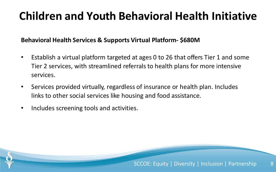#### **Behavioral Health Services & Supports Virtual Platform- \$680M**

- Establish a virtual platform targeted at ages 0 to 26 that offers Tier 1 and some Tier 2 services, with streamlined referrals to health plans for more intensive services.
- Services provided virtually, regardless of insurance or health plan. Includes links to other social services like housing and food assistance.
- Includes screening tools and activities.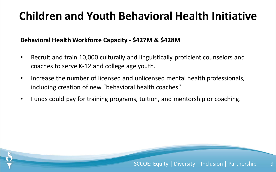#### **Behavioral Health Workforce Capacity - \$427M & \$428M**

- Recruit and train 10,000 culturally and linguistically proficient counselors and coaches to serve K-12 and college age youth.
- Increase the number of licensed and unlicensed mental health professionals, including creation of new "behavioral health coaches"
- Funds could pay for training programs, tuition, and mentorship or coaching.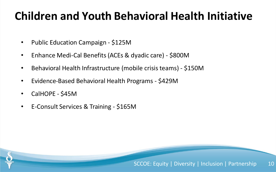- Public Education Campaign \$125M
- Enhance Medi-Cal Benefits (ACEs & dyadic care) \$800M
- Behavioral Health Infrastructure (mobile crisis teams) \$150M
- Evidence-Based Behavioral Health Programs \$429M
- CalHOPE \$45M
- E-Consult Services & Training \$165M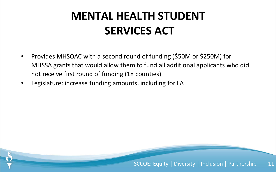## **MENTAL HEALTH STUDENT SERVICES ACT**

- Provides MHSOAC with a second round of funding (\$50M or \$250M) for MHSSA grants that would allow them to fund all additional applicants who did not receive first round of funding (18 counties)
- Legislature: increase funding amounts, including for LA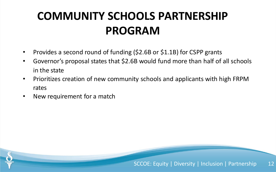## **COMMUNITY SCHOOLS PARTNERSHIP PROGRAM**

- Provides a second round of funding (\$2.6B or \$1.1B) for CSPP grants
- Governor's proposal states that \$2.6B would fund more than half of all schools in the state
- Prioritizes creation of new community schools and applicants with high FRPM rates
- New requirement for a match